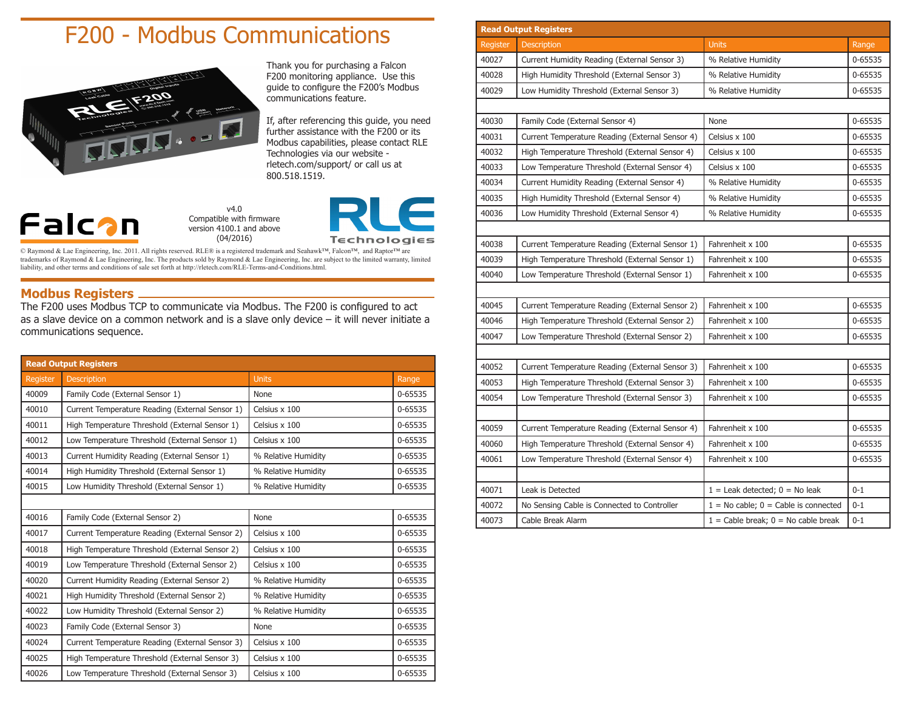## F200 - Modbus Communications



Thank you for purchasing a Falcon F200 monitoring appliance. Use this guide to configure the F200's Modbus communications feature.

If, after referencing this guide, you need further assistance with the F200 or its Modbus capabilities, please contact RLE Technologies via our website rletech.com/support/ or call us at 800.518.1519.



v4.0 Compatible with firmware version 4100.1 and above (04/2016)



© Raymond & Lae Engineering, Inc. 2011. All rights reserved. RLE® is a registered trademark and Seahawk™, Falcon™, and Raptor™ are trademarks of Raymond & Lae Engineering, Inc. The products sold by Raymond & Lae Engineering, Inc. are subject to the limited warranty, limited liability, and other terms and conditions of sale set forth at http://rletech.com/RLE-Terms-and-Conditions.html.

## **Modbus Registers**

The F200 uses Modbus TCP to communicate via Modbus. The F200 is configured to act as a slave device on a common network and is a slave only device – it will never initiate a communications sequence.

| <b>Read Output Registers</b> |                                                 |                     |         |
|------------------------------|-------------------------------------------------|---------------------|---------|
| <b>Register</b>              | <b>Description</b>                              | <b>Units</b>        | Range   |
| 40009                        | Family Code (External Sensor 1)                 | None                | 0-65535 |
| 40010                        | Current Temperature Reading (External Sensor 1) | Celsius x 100       | 0-65535 |
| 40011                        | High Temperature Threshold (External Sensor 1)  | Celsius $x$ 100     | 0-65535 |
| 40012                        | Low Temperature Threshold (External Sensor 1)   | Celsius x 100       | 0-65535 |
| 40013                        | Current Humidity Reading (External Sensor 1)    | % Relative Humidity | 0-65535 |
| 40014                        | High Humidity Threshold (External Sensor 1)     | % Relative Humidity | 0-65535 |
| 40015                        | Low Humidity Threshold (External Sensor 1)      | % Relative Humidity | 0-65535 |
|                              |                                                 |                     |         |
| 40016                        | Family Code (External Sensor 2)                 | None                | 0-65535 |
| 40017                        | Current Temperature Reading (External Sensor 2) | Celsius x 100       | 0-65535 |
| 40018                        | High Temperature Threshold (External Sensor 2)  | Celsius x 100       | 0-65535 |
| 40019                        | Low Temperature Threshold (External Sensor 2)   | Celsius $x$ 100     | 0-65535 |
| 40020                        | Current Humidity Reading (External Sensor 2)    | % Relative Humidity | 0-65535 |
| 40021                        | High Humidity Threshold (External Sensor 2)     | % Relative Humidity | 0-65535 |
| 40022                        | Low Humidity Threshold (External Sensor 2)      | % Relative Humidity | 0-65535 |
| 40023                        | Family Code (External Sensor 3)                 | None                | 0-65535 |
| 40024                        | Current Temperature Reading (External Sensor 3) | Celsius x 100       | 0-65535 |
| 40025                        | High Temperature Threshold (External Sensor 3)  | Celsius x 100       | 0-65535 |
| 40026                        | Low Temperature Threshold (External Sensor 3)   | Celsius x 100       | 0-65535 |

| <b>Read Output Registers</b> |                                                 |                                          |         |  |
|------------------------------|-------------------------------------------------|------------------------------------------|---------|--|
| Register                     | <b>Description</b>                              | <b>Units</b>                             | Range   |  |
| 40027                        | Current Humidity Reading (External Sensor 3)    | % Relative Humidity                      |         |  |
| 40028                        | High Humidity Threshold (External Sensor 3)     | % Relative Humidity                      | 0-65535 |  |
| 40029                        | Low Humidity Threshold (External Sensor 3)      | % Relative Humidity                      | 0-65535 |  |
|                              |                                                 |                                          |         |  |
| 40030                        | Family Code (External Sensor 4)                 | None                                     | 0-65535 |  |
| 40031                        | Current Temperature Reading (External Sensor 4) | Celsius x 100                            | 0-65535 |  |
| 40032                        | High Temperature Threshold (External Sensor 4)  | Celsius x 100                            | 0-65535 |  |
| 40033                        | Low Temperature Threshold (External Sensor 4)   | Celsius x 100                            | 0-65535 |  |
| 40034                        | Current Humidity Reading (External Sensor 4)    | % Relative Humidity                      | 0-65535 |  |
| 40035                        | High Humidity Threshold (External Sensor 4)     | % Relative Humidity                      | 0-65535 |  |
| 40036                        | Low Humidity Threshold (External Sensor 4)      | % Relative Humidity                      | 0-65535 |  |
|                              |                                                 |                                          |         |  |
| 40038                        | Current Temperature Reading (External Sensor 1) | Fahrenheit x 100                         | 0-65535 |  |
| 40039                        | High Temperature Threshold (External Sensor 1)  | Fahrenheit x 100                         | 0-65535 |  |
| 40040                        | Low Temperature Threshold (External Sensor 1)   | Fahrenheit x 100                         | 0-65535 |  |
|                              |                                                 |                                          |         |  |
| 40045                        | Current Temperature Reading (External Sensor 2) | Fahrenheit x 100                         | 0-65535 |  |
| 40046                        | High Temperature Threshold (External Sensor 2)  | Fahrenheit x 100                         | 0-65535 |  |
| 40047                        | Low Temperature Threshold (External Sensor 2)   | Fahrenheit x 100                         | 0-65535 |  |
|                              |                                                 |                                          |         |  |
| 40052                        | Current Temperature Reading (External Sensor 3) | Fahrenheit x 100                         | 0-65535 |  |
| 40053                        | High Temperature Threshold (External Sensor 3)  | Fahrenheit x 100                         | 0-65535 |  |
| 40054                        | Low Temperature Threshold (External Sensor 3)   | Fahrenheit x 100                         | 0-65535 |  |
|                              |                                                 |                                          |         |  |
| 40059                        | Current Temperature Reading (External Sensor 4) | Fahrenheit x 100                         | 0-65535 |  |
| 40060                        | High Temperature Threshold (External Sensor 4)  | Fahrenheit x 100                         | 0-65535 |  |
| 40061                        | Low Temperature Threshold (External Sensor 4)   | Fahrenheit x 100                         | 0-65535 |  |
|                              |                                                 |                                          |         |  |
| 40071                        | Leak is Detected                                | $1 =$ Leak detected; $0 =$ No leak       | $0 - 1$ |  |
| 40072                        | No Sensing Cable is Connected to Controller     | $1 = No$ cable; $0 = Cable$ is connected | $0 - 1$ |  |
| 40073                        | Cable Break Alarm                               | $1 =$ Cable break; $0 =$ No cable break  | $0 - 1$ |  |
|                              |                                                 |                                          |         |  |